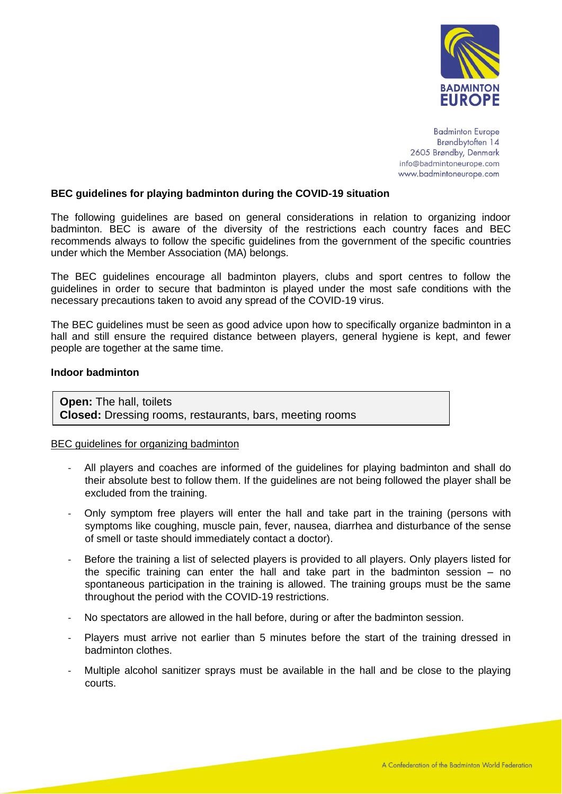

**Badminton Europe** Brøndbytoften 14 2605 Brøndby, Denmark info@badmintoneurope.com www.badmintoneurope.com

## **BEC guidelines for playing badminton during the COVID-19 situation**

The following guidelines are based on general considerations in relation to organizing indoor badminton. BEC is aware of the diversity of the restrictions each country faces and BEC recommends always to follow the specific guidelines from the government of the specific countries under which the Member Association (MA) belongs.

The BEC guidelines encourage all badminton players, clubs and sport centres to follow the guidelines in order to secure that badminton is played under the most safe conditions with the necessary precautions taken to avoid any spread of the COVID-19 virus.

The BEC guidelines must be seen as good advice upon how to specifically organize badminton in a hall and still ensure the required distance between players, general hygiene is kept, and fewer people are together at the same time.

## **Indoor badminton**

**Open:** The hall, toilets **Closed:** Dressing rooms, restaurants, bars, meeting rooms

## BEC guidelines for organizing badminton

- All players and coaches are informed of the guidelines for playing badminton and shall do their absolute best to follow them. If the guidelines are not being followed the player shall be excluded from the training.
- Only symptom free players will enter the hall and take part in the training (persons with symptoms like coughing, muscle pain, fever, nausea, diarrhea and disturbance of the sense of smell or taste should immediately contact a doctor).
- Before the training a list of selected players is provided to all players. Only players listed for the specific training can enter the hall and take part in the badminton session – no spontaneous participation in the training is allowed. The training groups must be the same throughout the period with the COVID-19 restrictions.
- No spectators are allowed in the hall before, during or after the badminton session.
- Players must arrive not earlier than 5 minutes before the start of the training dressed in badminton clothes.
- Multiple alcohol sanitizer sprays must be available in the hall and be close to the playing courts.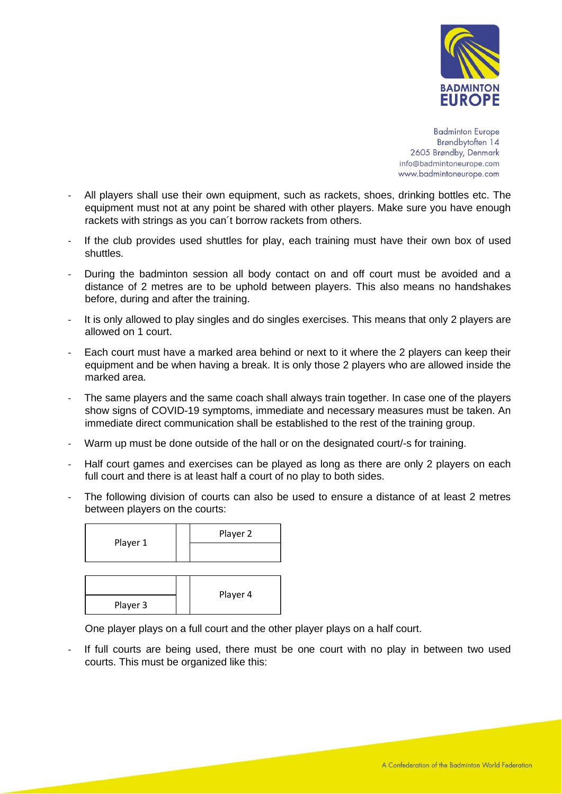

**Badminton Europe** Brøndbytoften 14 2605 Brøndby, Denmark info@badmintoneurope.com www.badmintoneurope.com

- All players shall use their own equipment, such as rackets, shoes, drinking bottles etc. The equipment must not at any point be shared with other players. Make sure you have enough rackets with strings as you can´t borrow rackets from others.
- If the club provides used shuttles for play, each training must have their own box of used shuttles.
- During the badminton session all body contact on and off court must be avoided and a distance of 2 metres are to be uphold between players. This also means no handshakes before, during and after the training.
- It is only allowed to play singles and do singles exercises. This means that only 2 players are allowed on 1 court.
- Each court must have a marked area behind or next to it where the 2 players can keep their equipment and be when having a break. It is only those 2 players who are allowed inside the marked area.
- The same players and the same coach shall always train together. In case one of the players show signs of COVID-19 symptoms, immediate and necessary measures must be taken. An immediate direct communication shall be established to the rest of the training group.
- Warm up must be done outside of the hall or on the designated court/-s for training.
- Half court games and exercises can be played as long as there are only 2 players on each full court and there is at least half a court of no play to both sides.
- The following division of courts can also be used to ensure a distance of at least 2 metres between players on the courts:

| Player 1 | Player 2 |
|----------|----------|
|          |          |
|          |          |

| Player 3 | Player 4 |
|----------|----------|

One player plays on a full court and the other player plays on a half court.

If full courts are being used, there must be one court with no play in between two used courts. This must be organized like this: